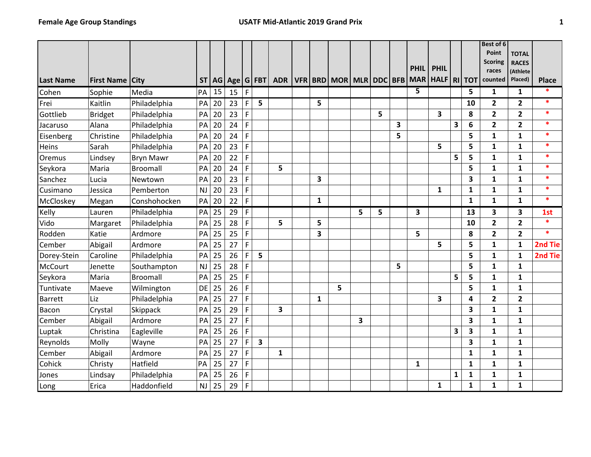|                  |                        |                  |           |    |                 |              |   |            |              |                                   |   |   |   |             |                 |              |              | Best of 6               |                     |              |
|------------------|------------------------|------------------|-----------|----|-----------------|--------------|---|------------|--------------|-----------------------------------|---|---|---|-------------|-----------------|--------------|--------------|-------------------------|---------------------|--------------|
|                  |                        |                  |           |    |                 |              |   |            |              |                                   |   |   |   |             |                 |              |              | Point                   | <b>TOTAL</b>        |              |
|                  |                        |                  |           |    |                 |              |   |            |              |                                   |   |   |   | <b>PHIL</b> | <b>PHIL</b>     |              |              | <b>Scoring</b>          | <b>RACES</b>        |              |
| <b>Last Name</b> | <b>First Name City</b> |                  |           |    | ST AG Age G FBT |              |   | <b>ADR</b> |              | VFR   BRD   MOR   MLR   DDC   BFB |   |   |   |             | MAR HALF RI TOT |              |              | races<br>counted        | (Athlete<br>Placed) | <b>Place</b> |
| Cohen            | Sophie                 | Media            | PA        | 15 | 15              | $\mathsf{F}$ |   |            |              |                                   |   |   |   | 5           |                 |              | 5            | 1                       | $\mathbf{1}$        | *            |
| Frei             | Kaitlin                | Philadelphia     | PA        | 20 | 23              | $\mathsf F$  | 5 |            | 5            |                                   |   |   |   |             |                 |              | 10           | $\overline{\mathbf{2}}$ | 2                   | $\ast$       |
| Gottlieb         | <b>Bridget</b>         | Philadelphia     | PA        | 20 | 23              | $\mathsf F$  |   |            |              |                                   |   | 5 |   |             | 3               |              | 8            | $\overline{2}$          | $\overline{2}$      | $\ast$       |
| Jacaruso         | Alana                  | Philadelphia     | PA        | 20 | 24              | F            |   |            |              |                                   |   |   | 3 |             |                 | 3            | 6            | $\overline{2}$          | $\overline{2}$      | $\ast$       |
| Eisenberg        | Christine              | Philadelphia     | PA        | 20 | 24              | $\mathsf F$  |   |            |              |                                   |   |   | 5 |             |                 |              | 5            | 1                       | 1                   | $\ast$       |
| Heins            | Sarah                  | Philadelphia     | PA        | 20 | 23              | $\mathsf F$  |   |            |              |                                   |   |   |   |             | 5               |              | 5            | $\mathbf{1}$            | $\mathbf{1}$        | $\ast$       |
| Oremus           | Lindsey                | <b>Bryn Mawr</b> | PA        | 20 | 22              | $\mathsf F$  |   |            |              |                                   |   |   |   |             |                 | 5            | 5            | $\mathbf{1}$            | $\mathbf{1}$        | $\ast$       |
| Seykora          | Maria                  | <b>Broomall</b>  | PA        | 20 | 24              | F            |   | 5          |              |                                   |   |   |   |             |                 |              | 5            | $\mathbf{1}$            | $\mathbf{1}$        | $\ast$       |
| Sanchez          | Lucia                  | Newtown          | PA        | 20 | 23              | F            |   |            | 3            |                                   |   |   |   |             |                 |              | 3            | $\mathbf{1}$            | 1                   | *            |
| Cusimano         | Jessica                | Pemberton        | <b>NJ</b> | 20 | 23              | $\mathsf F$  |   |            |              |                                   |   |   |   |             | $\mathbf{1}$    |              | 1            | $\mathbf{1}$            | $\mathbf{1}$        | $\ast$       |
| McCloskey        | Megan                  | Conshohocken     | PA        | 20 | 22              | F            |   |            | $\mathbf{1}$ |                                   |   |   |   |             |                 |              | $\mathbf{1}$ | $\mathbf{1}$            | $\mathbf{1}$        | $\ast$       |
| Kelly            | Lauren                 | Philadelphia     | PA        | 25 | 29              | F            |   |            |              |                                   | 5 | 5 |   | 3           |                 |              | 13           | 3                       | 3                   | 1st          |
| Vido             | Margaret               | Philadelphia     | PA        | 25 | 28              | $\mathsf F$  |   | 5          | 5            |                                   |   |   |   |             |                 |              | 10           | $\mathbf{2}$            | $\overline{2}$      | $\ast$       |
| Rodden           | Katie                  | Ardmore          | PA        | 25 | 25              | F            |   |            | 3            |                                   |   |   |   | 5           |                 |              | 8            | $\overline{2}$          | $\overline{2}$      | $\ast$       |
| Cember           | Abigail                | Ardmore          | PA        | 25 | 27              | F            |   |            |              |                                   |   |   |   |             | 5               |              | 5            | $\mathbf{1}$            | $\mathbf{1}$        | 2nd Tie      |
| Dorey-Stein      | Caroline               | Philadelphia     | PA        | 25 | 26              | $\mathsf F$  | 5 |            |              |                                   |   |   |   |             |                 |              | 5            | $\mathbf{1}$            | $\mathbf{1}$        | 2nd Tie      |
| <b>McCourt</b>   | Jenette                | Southampton      | <b>NJ</b> | 25 | 28              | $\mathsf F$  |   |            |              |                                   |   |   | 5 |             |                 |              | 5            | $\mathbf{1}$            | $\mathbf{1}$        |              |
| Seykora          | Maria                  | <b>Broomall</b>  | PA        | 25 | 25              | $\mathsf F$  |   |            |              |                                   |   |   |   |             |                 | 5            | 5            | $\mathbf{1}$            | 1                   |              |
| Tuntivate        | Maeve                  | Wilmington       | DE        | 25 | 26              | $\mathsf F$  |   |            |              | 5                                 |   |   |   |             |                 |              | 5            | $\mathbf{1}$            | $\mathbf{1}$        |              |
| <b>Barrett</b>   | Liz                    | Philadelphia     | PA        | 25 | 27              | F            |   |            | 1            |                                   |   |   |   |             | 3               |              | 4            | $\overline{2}$          | $\overline{2}$      |              |
| Bacon            | Crystal                | Skippack         | PA        | 25 | 29              | F            |   | 3          |              |                                   |   |   |   |             |                 |              | 3            | $\mathbf{1}$            | 1                   |              |
| Cember           | Abigail                | Ardmore          | PA        | 25 | 27              | $\mathsf F$  |   |            |              |                                   | 3 |   |   |             |                 |              | 3            | $\mathbf{1}$            | $\mathbf{1}$        |              |
| Luptak           | Christina              | Eagleville       | PA        | 25 | 26              | F            |   |            |              |                                   |   |   |   |             |                 | 3            | 3            | $\mathbf{1}$            | $\mathbf{1}$        |              |
| Reynolds         | Molly                  | Wayne            | PA        | 25 | 27              | $\mathsf F$  | 3 |            |              |                                   |   |   |   |             |                 |              | 3            | $\mathbf{1}$            | $\mathbf{1}$        |              |
| Cember           | Abigail                | Ardmore          | PA        | 25 | 27              | F            |   | 1          |              |                                   |   |   |   |             |                 |              | 1            | 1                       | $\mathbf{1}$        |              |
| Cohick           | Christy                | Hatfield         | PA        | 25 | 27              | $\mathsf F$  |   |            |              |                                   |   |   |   | 1           |                 |              | $\mathbf{1}$ | 1                       | $\mathbf{1}$        |              |
| Jones            | Lindsay                | Philadelphia     | PA        | 25 | 26              | $\mathsf F$  |   |            |              |                                   |   |   |   |             |                 | $\mathbf{1}$ | 1            | $\mathbf{1}$            | 1                   |              |
| Long             | Erica                  | Haddonfield      | <b>NJ</b> | 25 | 29              | $\mathsf F$  |   |            |              |                                   |   |   |   |             | 1               |              | $\mathbf{1}$ | $\mathbf{1}$            | $\mathbf{1}$        |              |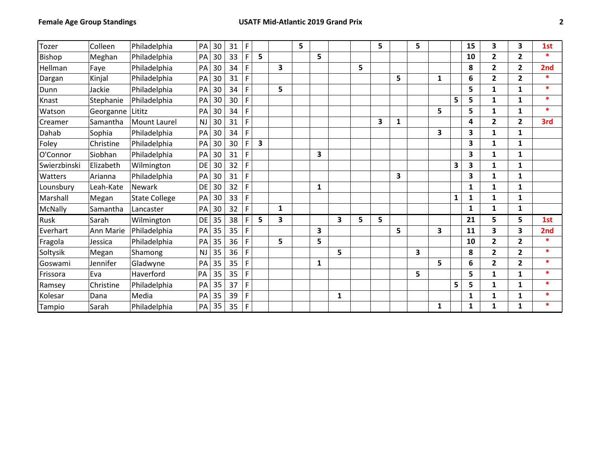| Tozer        | Colleen   | Philadelphia<br>PA               | 30 | 31 | F |                         |   | 5 |   |   |   | 5 |   | 5 |   |   | 15 | 3                       | 3              | 1st             |
|--------------|-----------|----------------------------------|----|----|---|-------------------------|---|---|---|---|---|---|---|---|---|---|----|-------------------------|----------------|-----------------|
| Bishop       | Meghan    | Philadelphia<br>PA               | 30 | 33 | F | 5                       |   |   | 5 |   |   |   |   |   |   |   | 10 | $\overline{2}$          | 2              | $\ast$          |
| Hellman      | Faye      | Philadelphia<br>PA               | 30 | 34 | F |                         | 3 |   |   |   | 5 |   |   |   |   |   | 8  | $\overline{2}$          | $\overline{2}$ | 2 <sub>nd</sub> |
| Dargan       | Kinjal    | Philadelphia<br>PA               | 30 | 31 | F |                         |   |   |   |   |   |   | 5 |   | 1 |   | 6  | $\overline{2}$          | $\overline{2}$ | $\ast$          |
| Dunn         | Jackie    | Philadelphia<br>PA               | 30 | 34 | F |                         | 5 |   |   |   |   |   |   |   |   |   | 5  | 1                       | 1              | $\ast$          |
| Knast        | Stephanie | Philadelphia<br>PA               | 30 | 30 | F |                         |   |   |   |   |   |   |   |   |   | 5 | 5  | 1                       | 1              | $\ast$          |
| Watson       | Georganne | PA<br>Lititz                     | 30 | 34 | F |                         |   |   |   |   |   |   |   |   | 5 |   | 5  | 1                       | 1              | $\ast$          |
| Creamer      | Samantha  | <b>NJ</b><br><b>Mount Laurel</b> | 30 | 31 | F |                         |   |   |   |   |   | 3 | 1 |   |   |   | 4  | $\overline{2}$          | $\overline{2}$ | 3rd             |
| Dahab        | Sophia    | Philadelphia<br>PA               | 30 | 34 | F |                         |   |   |   |   |   |   |   |   | 3 |   | 3  | 1                       | 1              |                 |
| Foley        | Christine | Philadelphia<br>PA               | 30 | 30 | F | $\overline{\mathbf{3}}$ |   |   |   |   |   |   |   |   |   |   | 3  | 1                       | 1              |                 |
| O'Connor     | Siobhan   | Philadelphia<br>PA               | 30 | 31 | F |                         |   |   | 3 |   |   |   |   |   |   |   | 3  | 1                       | 1              |                 |
| Swierzbinski | Elizabeth | DE<br>Wilmington                 | 30 | 32 | F |                         |   |   |   |   |   |   |   |   |   | 3 | 3  | 1                       | $\mathbf{1}$   |                 |
| Watters      | Arianna   | Philadelphia<br>PA               | 30 | 31 | F |                         |   |   |   |   |   |   | 3 |   |   |   | 3  | 1                       | 1              |                 |
| Lounsbury    | Leah-Kate | Newark<br>DE                     | 30 | 32 | F |                         |   |   | 1 |   |   |   |   |   |   |   | 1  | 1                       | 1              |                 |
| Marshall     | Megan     | <b>State College</b><br>PA       | 30 | 33 | F |                         |   |   |   |   |   |   |   |   |   | 1 | 1  | 1                       | 1              |                 |
| McNally      | Samantha  | PA<br>Lancaster                  | 30 | 32 | F |                         | 1 |   |   |   |   |   |   |   |   |   | 1  | 1                       | 1              |                 |
| Rusk         | Sarah     | Wilmington<br>DE                 | 35 | 38 | F | 5                       | 3 |   |   | 3 | 5 | 5 |   |   |   |   | 21 | 5                       | 5              | 1st             |
| Everhart     | Ann Marie | Philadelphia<br>PA               | 35 | 35 | F |                         |   |   | 3 |   |   |   | 5 |   | 3 |   | 11 | $\overline{\mathbf{3}}$ | 3              | 2nd             |
| Fragola      | Jessica   | Philadelphia<br>PA               | 35 | 36 | F |                         | 5 |   | 5 |   |   |   |   |   |   |   | 10 | $\overline{2}$          | $\overline{2}$ | $\ast$          |
| Soltysik     | Megan     | Shamong<br><b>NJ</b>             | 35 | 36 | F |                         |   |   |   | 5 |   |   |   | 3 |   |   | 8  | $\mathbf{2}$            | $\overline{2}$ | $\ast$          |
| Goswami      | Jennifer  | Gladwyne<br>PA                   | 35 | 35 | F |                         |   |   | 1 |   |   |   |   |   | 5 |   | 6  | $\mathbf{2}$            | $\overline{2}$ | $\ast$          |
| Frissora     | Eva       | Haverford<br>PA                  | 35 | 35 | F |                         |   |   |   |   |   |   |   | 5 |   |   | 5  | $\mathbf{1}$            | 1              | $\ast$          |
| Ramsey       | Christine | Philadelphia<br>PA               | 35 | 37 | F |                         |   |   |   |   |   |   |   |   |   | 5 | 5  | 1                       | 1              | $\ast$          |
| Kolesar      | Dana      | Media<br>PA                      | 35 | 39 | F |                         |   |   |   | 1 |   |   |   |   |   |   | 1  | 1                       | 1              | $\ast$          |
| Tampio       | Sarah     | Philadelphia<br>PA               | 35 | 35 | F |                         |   |   |   |   |   |   |   |   | 1 |   | 1  | 1                       | 1              | $\ast$          |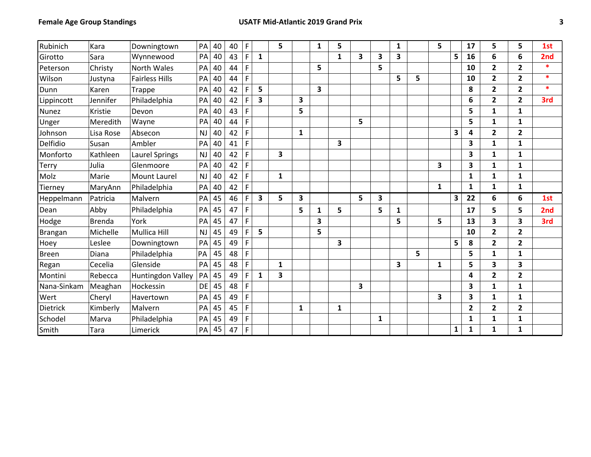| Rubinich     | Kara      | Downingtown           | PA        | 40 | 40 | $\mathsf F$ |              | 5                       |              | 1 | 5            |   |   | 1            |   | 5            |              | 17             | 5                       | 5                       | 1st    |
|--------------|-----------|-----------------------|-----------|----|----|-------------|--------------|-------------------------|--------------|---|--------------|---|---|--------------|---|--------------|--------------|----------------|-------------------------|-------------------------|--------|
| Girotto      | Sara      | Wynnewood             | PA        | 40 | 43 | F           | $\mathbf{1}$ |                         |              |   | $\mathbf{1}$ | 3 | 3 | 3            |   |              | 5            | 16             | 6                       | 6                       | 2nd    |
| Peterson     | Christy   | North Wales           | PA        | 40 | 44 | F           |              |                         |              | 5 |              |   | 5 |              |   |              |              | 10             | $\overline{\mathbf{c}}$ | $\overline{2}$          | $\ast$ |
| Wilson       | Justyna   | <b>Fairless Hills</b> | PA        | 40 | 44 | F           |              |                         |              |   |              |   |   | 5            | 5 |              |              | 10             | $\overline{2}$          | $\overline{\mathbf{2}}$ | $\ast$ |
| Dunn         | Karen     | Trappe                | PA        | 40 | 42 | F           | 5            |                         |              | 3 |              |   |   |              |   |              |              | 8              | $\overline{\mathbf{c}}$ | $\overline{\mathbf{2}}$ | $\ast$ |
| Lippincott   | Jennifer  | Philadelphia          | PA        | 40 | 42 | F           | 3            |                         | 3            |   |              |   |   |              |   |              |              | 6              | $\overline{\mathbf{c}}$ | $\overline{\mathbf{2}}$ | 3rd    |
| <b>Nunez</b> | Kristie   | Devon                 | PA        | 40 | 43 | F           |              |                         | 5            |   |              |   |   |              |   |              |              | 5              | $\mathbf{1}$            | 1                       |        |
| Unger        | Meredith  | Wayne                 | PA        | 40 | 44 | F           |              |                         |              |   |              | 5 |   |              |   |              |              | 5              | $\mathbf{1}$            | 1                       |        |
| Johnson      | Lisa Rose | Absecon               | <b>NJ</b> | 40 | 42 | F           |              |                         | $\mathbf{1}$ |   |              |   |   |              |   |              | 3            | 4              | $\overline{\mathbf{c}}$ | $\overline{\mathbf{2}}$ |        |
| Delfidio     | Susan     | Ambler                | PA        | 40 | 41 | F           |              |                         |              |   | 3            |   |   |              |   |              |              | 3              | $\mathbf{1}$            | 1                       |        |
| Monforto     | Kathleen  | <b>Laurel Springs</b> | <b>NJ</b> | 40 | 42 | F           |              | $\overline{\mathbf{3}}$ |              |   |              |   |   |              |   |              |              | 3              | $\mathbf{1}$            | 1                       |        |
| <b>Terry</b> | Julia     | Glenmoore             | PA        | 40 | 42 | F           |              |                         |              |   |              |   |   |              |   | 3            |              | 3              | 1                       | 1                       |        |
| Molz         | Marie     | <b>Mount Laurel</b>   | NJ        | 40 | 42 | F           |              | $\mathbf{1}$            |              |   |              |   |   |              |   |              |              | 1              | 1                       | 1                       |        |
| Tierney      | MaryAnn   | Philadelphia          | PA        | 40 | 42 | F           |              |                         |              |   |              |   |   |              |   | $\mathbf{1}$ |              | 1              | $\mathbf{1}$            | 1                       |        |
| Heppelmann   | Patricia  | Malvern               | PA        | 45 | 46 | F           | $\mathbf{3}$ | 5                       | 3            |   |              | 5 | 3 |              |   |              | 3            | 22             | 6                       | 6                       | 1st    |
| Dean         | Abby      | Philadelphia          | PA        | 45 | 47 | F           |              |                         | 5            | 1 | 5            |   | 5 | $\mathbf{1}$ |   |              |              | 17             | 5                       | 5                       | 2nd    |
| Hodge        | Brenda    | York                  | PA        | 45 | 47 | F           |              |                         |              | 3 |              |   |   | 5            |   | 5            |              | 13             | 3                       | 3                       | 3rd    |
| Brangan      | Michelle  | <b>Mullica Hill</b>   | <b>NJ</b> | 45 | 49 | F           | 5            |                         |              | 5 |              |   |   |              |   |              |              | 10             | $\mathbf{2}$            | 2                       |        |
| Hoey         | Leslee    | Downingtown           | PA        | 45 | 49 | F.          |              |                         |              |   | 3            |   |   |              |   |              | 5            | 8              | $\overline{2}$          | $\overline{\mathbf{2}}$ |        |
| <b>Breen</b> | Diana     | Philadelphia          | PA        | 45 | 48 | F           |              |                         |              |   |              |   |   |              | 5 |              |              | 5              | $\mathbf{1}$            | 1                       |        |
| Regan        | Cecelia   | Glenside              | PA        | 45 | 48 | F           |              | 1                       |              |   |              |   |   | 3            |   | $\mathbf{1}$ |              | 5              | 3                       | 3                       |        |
| Montini      | Rebecca   | Huntingdon Valley     | PA        | 45 | 49 | F           | 1            | 3                       |              |   |              |   |   |              |   |              |              | 4              | 2                       | $\overline{\mathbf{2}}$ |        |
| Nana-Sinkam  | Meaghan   | Hockessin             | DE        | 45 | 48 | F           |              |                         |              |   |              | 3 |   |              |   |              |              | 3              | $\mathbf{1}$            | 1                       |        |
| Wert         | Cheryl    | Havertown             | PA        | 45 | 49 | F           |              |                         |              |   |              |   |   |              |   | 3            |              | 3              | $\mathbf{1}$            | 1                       |        |
| Dietrick     | Kimberly  | Malvern               | PA        | 45 | 45 | F           |              |                         | 1            |   | 1            |   |   |              |   |              |              | $\overline{2}$ | $\overline{2}$          | $\overline{\mathbf{2}}$ |        |
| Schodel      | Marva     | Philadelphia          | PA        | 45 | 49 | F           |              |                         |              |   |              |   | 1 |              |   |              |              | 1              | 1                       | 1                       |        |
| Smith        | Tara      | Limerick              | PA        | 45 | 47 | F           |              |                         |              |   |              |   |   |              |   |              | $\mathbf{1}$ | 1              | $\mathbf{1}$            | $\mathbf{1}$            |        |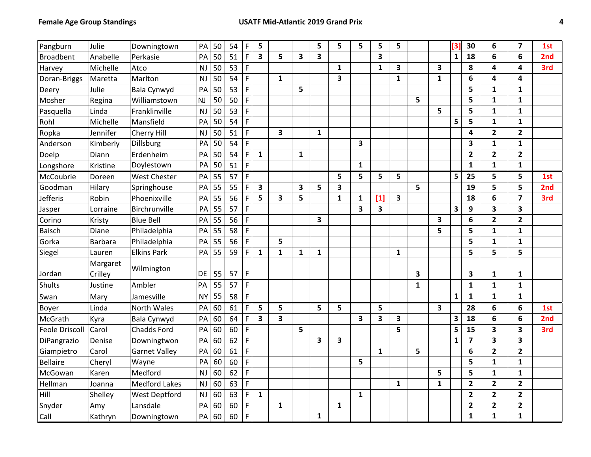| Pangburn              | Julie               | Downingtown          | PA        | 50 | 54 | F              | 5                       |              |              | 5            | 5                       | 5            | 5                       | 5                       |              |              | [3]          | 30                      | 6                       | $\overline{\mathbf{z}}$ | 1st |
|-----------------------|---------------------|----------------------|-----------|----|----|----------------|-------------------------|--------------|--------------|--------------|-------------------------|--------------|-------------------------|-------------------------|--------------|--------------|--------------|-------------------------|-------------------------|-------------------------|-----|
| <b>Broadbent</b>      | Anabelle            | Perkasie             | PA        | 50 | 51 | $\mathsf F$    | 3                       | 5            | 3            | 3            |                         |              | 3                       |                         |              |              | $\mathbf{1}$ | 18                      | 6                       | 6                       | 2nd |
| Harvey                | Michelle            | Atco                 | <b>NJ</b> | 50 | 53 | $\mathsf{F}$   |                         |              |              |              | 1                       |              | $\mathbf{1}$            | 3                       |              | 3            |              | 8                       | 4                       | 4                       | 3rd |
| Doran-Briggs          | Maretta             | Marlton              | <b>NJ</b> | 50 | 54 | F              |                         | $\mathbf{1}$ |              |              | 3                       |              |                         | $\mathbf{1}$            |              | $\mathbf{1}$ |              | 6                       | 4                       | 4                       |     |
| Deery                 | Julie               | Bala Cynwyd          | PA        | 50 | 53 | $\mathsf F$    |                         |              | 5            |              |                         |              |                         |                         |              |              |              | 5                       | $\mathbf{1}$            | 1                       |     |
| Mosher                | Regina              | Williamstown         | NJ        | 50 | 50 | F              |                         |              |              |              |                         |              |                         |                         | 5            |              |              | 5                       | $\mathbf{1}$            | $\mathbf{1}$            |     |
| Pasquella             | Linda               | Franklinville        | NJ        | 50 | 53 | $\mathsf{F}$   |                         |              |              |              |                         |              |                         |                         |              | 5            |              | 5                       | $\mathbf{1}$            | $\mathbf{1}$            |     |
| Rohl                  | Michelle            | Mansfield            | PA        | 50 | 54 | $\mathsf{F}$   |                         |              |              |              |                         |              |                         |                         |              |              | 5            | 5                       | $\mathbf{1}$            | $\mathbf{1}$            |     |
| Ropka                 | Jennifer            | Cherry Hill          | <b>NJ</b> | 50 | 51 | F              |                         | 3            |              | 1            |                         |              |                         |                         |              |              |              | 4                       | $\overline{2}$          | $\overline{2}$          |     |
| Anderson              | Kimberly            | <b>Dillsburg</b>     | PA        | 50 | 54 | F              |                         |              |              |              |                         | 3            |                         |                         |              |              |              | 3                       | $\mathbf{1}$            | $\mathbf{1}$            |     |
| Doelp                 | Diann               | Erdenheim            | PA        | 50 | 54 | $\mathsf{F}$   | $\mathbf{1}$            |              | $\mathbf{1}$ |              |                         |              |                         |                         |              |              |              | $\overline{\mathbf{2}}$ | $\mathbf{2}$            | $\overline{2}$          |     |
| Longshore             | Kristine            | Doylestown           | PA        | 50 | 51 | $\mathsf F$    |                         |              |              |              |                         | $\mathbf{1}$ |                         |                         |              |              |              | $\mathbf 1$             | $\mathbf{1}$            | $\mathbf{1}$            |     |
| McCoubrie             | Doreen              | <b>West Chester</b>  | PA        | 55 | 57 | $\mathsf F$    |                         |              |              |              | 5                       | 5            | 5                       | 5                       |              |              | 5            | 25                      | 5                       | 5                       | 1st |
| Goodman               | Hilary              | Springhouse          | PA        | 55 | 55 | $\mathsf{F}$   | $\overline{\mathbf{3}}$ |              | 3            | 5            | $\overline{\mathbf{3}}$ |              |                         |                         | 5            |              |              | 19                      | 5                       | 5                       | 2nd |
| <b>Jefferis</b>       | Robin               | Phoenixville         | PA        | 55 | 56 | $\mathsf F$    | 5                       | 3            | 5            |              | $\mathbf{1}$            | $\mathbf{1}$ | $[1]$                   | $\overline{\mathbf{3}}$ |              |              |              | 18                      | 6                       | $\overline{\mathbf{z}}$ | 3rd |
| Jasper                | Lorraine            | Birchrunville        | PA        | 55 | 57 | $\mathsf F$    |                         |              |              |              |                         | 3            | $\overline{\mathbf{3}}$ |                         |              |              | 3            | 9                       | 3                       | 3                       |     |
| Corino                | Kristy              | <b>Blue Bell</b>     | PA        | 55 | 56 | $\mathsf F$    |                         |              |              | 3            |                         |              |                         |                         |              | 3            |              | 6                       | $\overline{2}$          | $\overline{\mathbf{2}}$ |     |
| <b>Baisch</b>         | Diane               | Philadelphia         | PA        | 55 | 58 | $\mathsf F$    |                         |              |              |              |                         |              |                         |                         |              | 5            |              | 5                       | $\mathbf{1}$            | 1                       |     |
| Gorka                 | <b>Barbara</b>      | Philadelphia         | PA        | 55 | 56 | F              |                         | 5            |              |              |                         |              |                         |                         |              |              |              | 5                       | $\mathbf{1}$            | $\mathbf{1}$            |     |
| Siegel                | Lauren              | <b>Elkins Park</b>   | PA        | 55 | 59 | F              | $\mathbf{1}$            | $\mathbf{1}$ | $\mathbf{1}$ | 1            |                         |              |                         | $\mathbf{1}$            |              |              |              | 5                       | 5                       | 5                       |     |
| Jordan                | Margaret<br>Crilley | Wilmington           | DE        | 55 | 57 | $\mathsf F$    |                         |              |              |              |                         |              |                         |                         | 3            |              |              | 3                       | 1                       | 1                       |     |
| <b>Shults</b>         | Justine             | Ambler               | PA        | 55 | 57 | $\mathsf F$    |                         |              |              |              |                         |              |                         |                         | $\mathbf{1}$ |              |              | $\mathbf{1}$            | $\mathbf{1}$            | $\mathbf{1}$            |     |
| Swan                  | Mary                | Jamesville           | <b>NY</b> | 55 | 58 | F              |                         |              |              |              |                         |              |                         |                         |              |              | $\mathbf{1}$ | $\mathbf{1}$            | $\mathbf{1}$            | $\mathbf{1}$            |     |
| Boyer                 | Linda               | North Wales          | PA        | 60 | 61 | F              | 5                       | 5            |              | 5            | 5                       |              | 5                       |                         |              | 3            |              | 28                      | 6                       | 6                       | 1st |
| McGrath               | Kyra                | Bala Cynwyd          | PA        | 60 | 64 | F              | 3                       | 3            |              |              |                         | 3            | 3                       | 3                       |              |              | 3            | 18                      | 6                       | 6                       | 2nd |
| <b>Feole Driscoll</b> | Carol               | <b>Chadds Ford</b>   | PA        | 60 | 60 | F              |                         |              | 5            |              |                         |              |                         | 5                       |              |              | 5            | 15                      | 3                       | 3                       | 3rd |
| DiPangrazio           | Denise              | Downingtwon          | PA        | 60 | 62 | $\overline{F}$ |                         |              |              | 3            | $\overline{\mathbf{3}}$ |              |                         |                         |              |              | $\mathbf{1}$ | $\overline{\mathbf{z}}$ | 3                       | 3                       |     |
| Giampietro            | Carol               | <b>Garnet Valley</b> | PA        | 60 | 61 | $\mathsf F$    |                         |              |              |              |                         |              | $\mathbf{1}$            |                         | 5            |              |              | 6                       | $\overline{\mathbf{2}}$ | $\overline{2}$          |     |
| <b>Bellaire</b>       | Cheryl              | Wayne                | PA        | 60 | 60 | $\mathsf F$    |                         |              |              |              |                         | 5            |                         |                         |              |              |              | 5                       | $\mathbf{1}$            | $\mathbf{1}$            |     |
| McGowan               | Karen               | Medford              | NJ        | 60 | 62 | $\mathsf F$    |                         |              |              |              |                         |              |                         |                         |              | 5            |              | 5                       | $\mathbf{1}$            | $\mathbf{1}$            |     |
| Hellman               | Joanna              | <b>Medford Lakes</b> | <b>NJ</b> | 60 | 63 | $\mathsf F$    |                         |              |              |              |                         |              |                         | $\mathbf{1}$            |              | $\mathbf{1}$ |              | $\overline{2}$          | $\overline{2}$          | $\overline{2}$          |     |
| Hill                  | Shelley             | <b>West Deptford</b> | <b>NJ</b> | 60 | 63 | $\mathsf F$    | $\mathbf{1}$            |              |              |              |                         | $\mathbf{1}$ |                         |                         |              |              |              | $\overline{2}$          | $\overline{2}$          | $\mathbf{2}$            |     |
| Snyder                | Amy                 | Lansdale             | PA        | 60 | 60 | $\mathsf F$    |                         | $\mathbf{1}$ |              |              | $\mathbf{1}$            |              |                         |                         |              |              |              | $\overline{\mathbf{c}}$ | $\mathbf{2}$            | $\overline{\mathbf{2}}$ |     |
| Call                  | Kathryn             | Downingtown          | PA        | 60 | 60 | $\mathsf F$    |                         |              |              | $\mathbf{1}$ |                         |              |                         |                         |              |              |              | 1                       | $\mathbf{1}$            | $\mathbf{1}$            |     |